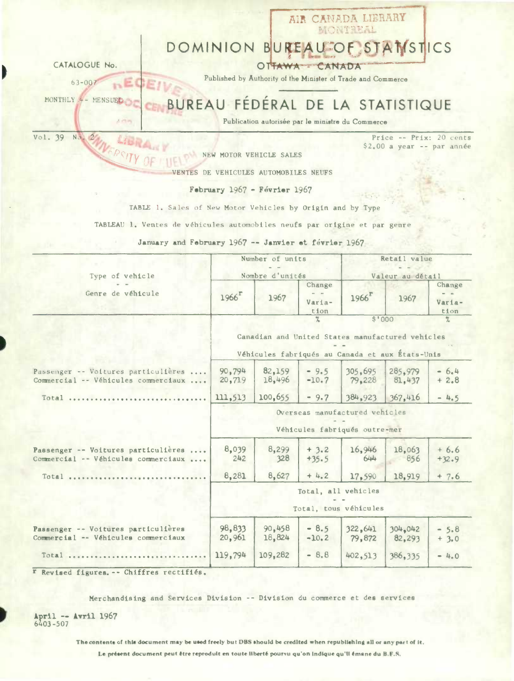|                                                                            |                     |                                                              |                   | AIR CANADA LIBRARY<br>MONTREEL |                                                        |                   |
|----------------------------------------------------------------------------|---------------------|--------------------------------------------------------------|-------------------|--------------------------------|--------------------------------------------------------|-------------------|
|                                                                            |                     | DOMINION BUREAU OF STANSTICS                                 |                   |                                |                                                        |                   |
| CATALOGUE No.                                                              |                     |                                                              | OTTAWA CANADA     |                                |                                                        |                   |
| $63 - 007$                                                                 |                     | Published by Authority of the Minister of Trade and Commerce |                   |                                |                                                        |                   |
| MONTHLY - MENSUEL                                                          |                     |                                                              |                   |                                |                                                        |                   |
|                                                                            |                     | BUREAU FÉDÉRAL DE LA STATISTIQUE                             |                   |                                |                                                        |                   |
| $\Delta$ et eq.<br>Vol. 39 No. 2/11 SALAM                                  |                     | Publication autorisée par le ministre du Commerce            |                   |                                |                                                        |                   |
| $\mathbb{R}$                                                               |                     |                                                              |                   |                                | Price -- Prix: 20 cents<br>$$2,00$ a year -- par année |                   |
|                                                                            |                     | NEW MOTOR VEHICLE SALES                                      |                   |                                |                                                        |                   |
|                                                                            |                     | VENTES DE VEHICULES AUTOMOBILES NEUFS                        |                   |                                |                                                        |                   |
|                                                                            |                     | February 1967 - Février 1967                                 |                   |                                |                                                        |                   |
| TABLE 1. Sales of New Motor Vehicles by Origin and by Type                 |                     |                                                              |                   |                                |                                                        |                   |
| TABLEAU 1. Ventes de véhicules automobiles neufs par origine et par genre  |                     |                                                              |                   |                                |                                                        |                   |
| January and February 1967 -- Janvier et février 1967                       |                     |                                                              |                   |                                |                                                        |                   |
|                                                                            |                     | Number of units                                              |                   |                                | Retail value                                           |                   |
|                                                                            |                     |                                                              |                   |                                |                                                        |                   |
| Type of vehicle                                                            |                     | Nombre d'unités                                              | Change            |                                | Valeur au détail                                       | Change            |
| Genre de véhicule                                                          | $1966$ <sup>r</sup> | 1967                                                         | Varia-<br>tion    | $1966$ <sup>r</sup>            | 1967                                                   | Varia-<br>tion    |
|                                                                            |                     |                                                              |                   |                                | \$1000                                                 | 7.                |
|                                                                            |                     | Canadian and United States manufactured vehicles             |                   |                                |                                                        |                   |
|                                                                            |                     | Véhicules fabriqués au Canada et aux États-Unis              |                   |                                |                                                        |                   |
| Passenger -- Voitures particulières<br>Commercial -- Véhicules commerciaux | 90,794<br>20,719    | 82,159<br>18,496                                             | $-9.5$<br>$-10.7$ | 305,695<br>79,228              | 285,979<br>81.437                                      | $-6.4$<br>$+2.8$  |
| Total                                                                      | 111,513             | 100,655                                                      | $-9.7$            | 384,923                        | 367,416                                                | $-4.5$            |
|                                                                            |                     |                                                              |                   | Overseas manufactured vehicles |                                                        |                   |
|                                                                            |                     |                                                              |                   | Véhicules fabriqués outre-mer  |                                                        |                   |
|                                                                            |                     |                                                              |                   |                                |                                                        |                   |
| Passenger -- Voitures particulières<br>Commercial -- Véhicules commerciaux | 8,039<br>242        | 8,299<br>328                                                 | $+3.2$<br>$+35.5$ | 16,946<br>644                  | 18,063<br>856                                          | $+6.6$<br>$+32.9$ |
| $Total$                                                                    | 8,281               | 8,627                                                        | $+4.2$            | 17,590                         | 18,919                                                 | $+7.6$            |
|                                                                            |                     |                                                              |                   | Total, all vehicles            |                                                        |                   |
|                                                                            |                     |                                                              |                   | Total, tous véhicules          |                                                        |                   |
|                                                                            |                     |                                                              |                   |                                |                                                        |                   |
| Passenger -- Voitures particulières                                        | 98,833              | 90,458                                                       | $-8.5$            | 322,641                        | 304,042                                                | $-5.8$            |
| Commercial -- Véhicules commerciaux                                        | 20,961              | 18,824                                                       | $-10.2$           | 79,872                         | 82,293                                                 | $+3.0$            |

Merchandising and Services Division -- Division du commerce et des services

April -- Avril 1967<br>6403-507

The contents of this document may be used freely but DBS should be credited when republishing all or any part of it.

Le présent document peut être reproduit en toute liberté pourvu qu'on Indique qu'il émane du B.F.S.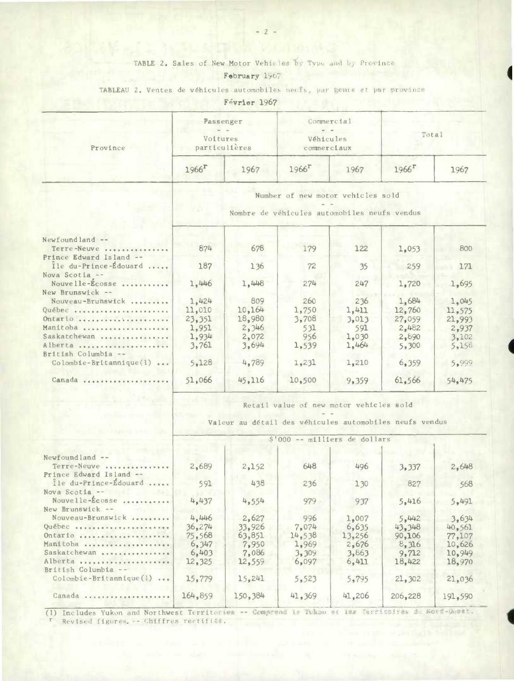## TABLE 2. Sales of New Motor Vehicles by Type and by Province

**I** 

## February 1967

TABLEAU 2. Ventes de véhicules automobiles nects, par genre et par province

Février 1967

| Province                                           | Passenger<br>Voitures<br>particulières |      | Commercial<br>Véhicules<br>commerciaux                                            |      | Total               |      |  |  |  |
|----------------------------------------------------|----------------------------------------|------|-----------------------------------------------------------------------------------|------|---------------------|------|--|--|--|
|                                                    | $1966$ <sup>r</sup>                    | 1967 | $1966$ <sup><math>\Gamma</math></sup>                                             | 1967 | $1966$ <sup>r</sup> | 1967 |  |  |  |
|                                                    |                                        |      | Number of new motor vehicles sold<br>Nombre de véhicules automobiles neufs vendus |      |                     |      |  |  |  |
| $Newtond$ --<br>Terre-Neuve                        | 874                                    | 678  | 179                                                                               | 122  | 1,053               | 800  |  |  |  |
| Prince Edward Island --<br>$I_0$ du-Prince-Edouard | 182.                                   | 36   | 72                                                                                | 25   | 250                 | 171. |  |  |  |

| $Newtond$ and $--$<br>Terre-Neuve                | 874    | 678    | 179    | 122   | 1,053  | 800    |
|--------------------------------------------------|--------|--------|--------|-------|--------|--------|
| Prince Edward Island --<br>Ile du-Prince-Édouard | 187    | 136    | 72     | 35    | 259    | 171    |
| Nova Scotia --<br>Nouvelle-Ecosse                | 1,446  | 1,448  | 274    | 247   | 1,720  | 1,695  |
| New Brunswick --                                 |        |        |        |       |        |        |
| Nouveau-Brunswick                                | 1,424  | 809    | 260    | 236   | 1,684  | 1,045  |
| Québec                                           | 11,010 | 10.164 | 1.750  | 1,411 | 12,760 | 11.575 |
| Ontario                                          | 23,351 | 18.980 | 3,708  | 3,013 | 27,059 | 21,993 |
| Manitoba                                         | 1,951  | 2,346  | 531    | 591   | 2,482  | 2.937  |
| Saskatchewan                                     | 1,934  | 2,072  | 956    | 1.030 | 2,890  | 3,102  |
| Alberta                                          | 3.761  | 3,694  | 1,539  | 1.464 | 5,300  | 5.150  |
| British Columbia --                              |        |        |        |       |        |        |
| $Colomb1e-Br1tannique(1) $                       | 5.128  | 4,789  | 1,231  | 1,210 | 6.359  | 5.999  |
| Canada                                           | 51,066 | 45.116 | 10.500 | 9,359 | 61,566 | 54.475 |
|                                                  |        |        |        |       |        |        |

Retail value of new motor vehicles sold

Valeur au detail des véhicules automobiles neufs vendus

|                            |         | $S'000$ -- milliers de dollars |        |        |         |         |  |  |  |  |
|----------------------------|---------|--------------------------------|--------|--------|---------|---------|--|--|--|--|
| Newfoundland --            |         |                                |        |        |         |         |  |  |  |  |
| Terre-Neuve<br>.           | 2,689   | 2,152                          | 648    | 496    | 3,337   | 2,648   |  |  |  |  |
| Prince Edward Island --    |         |                                |        |        |         |         |  |  |  |  |
| Île du-Prince-Édouard      | 591     | 438                            | 236    | 130    | 827     | 568     |  |  |  |  |
| Nova Scotia --             |         |                                |        |        |         |         |  |  |  |  |
| Nouvelle-Ecosse            | 4,437   | 4,554                          | 979    | 937    | 5,416   | 5,491   |  |  |  |  |
| New Brunswick --           |         |                                |        |        |         |         |  |  |  |  |
| Nouveau-Brunswick          | 4.446   | 2,627                          | 996    | 1,007  | 5.442   | 3,634   |  |  |  |  |
| Québec                     | 36,274  | 33.926                         | 7,074  | 6.635  | 43.348  | 40.561  |  |  |  |  |
| Ontario                    | 75.568  | 63,851                         | 14.538 | 13,256 | 90,106  | 77.107  |  |  |  |  |
| Manitoba                   | 6,347   | 7,950                          | 1,969  | 2,676  | 8,316   | 10,626  |  |  |  |  |
| Saskatchewan               | 6,403   | 7,086                          | 3.309  | 3.863  | 9,712   | 10.949  |  |  |  |  |
| Alberta                    | 12,325  | 12.559                         | 6.097  | 6.411  | 18,422  | 18,970  |  |  |  |  |
| British Columbia --        |         |                                |        |        |         |         |  |  |  |  |
| $Colombie-Britannique(1) $ | 15.779  | 15.241                         | 5,523  | 5,795  | 21,302  | 21,036  |  |  |  |  |
| Canada                     | 164,859 | 150,384                        | 41,369 | 41,206 | 206,228 | 191,590 |  |  |  |  |
|                            |         |                                |        |        |         |         |  |  |  |  |

(1) Includes Yukon and Northwest Territorien -- Comprend is Yukon at its Territoires de Nord-Ouest. r Revised figures. -- Chiffres rectifiés.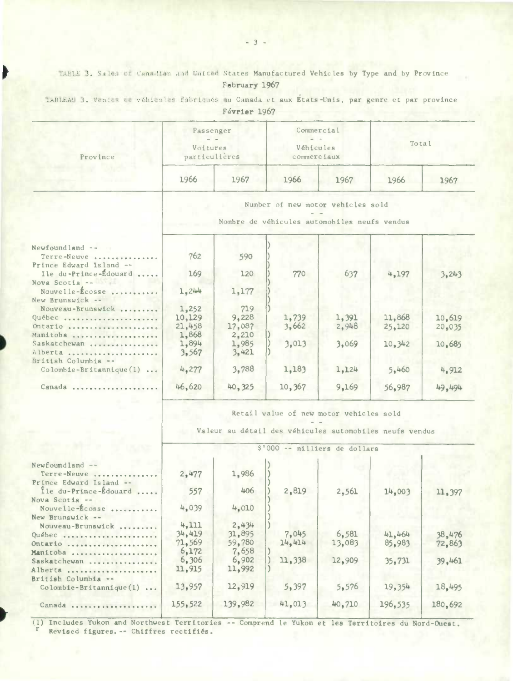TABLE 3. Sales of Canadian and Duited States Manufactured Vehicles by Type and by Province February 1967

| Province                                                           | Passenger<br>Voitures<br>particulières |                                                                                   | Commercial<br>Véhicules<br>commerciaux |       | Total  |        |
|--------------------------------------------------------------------|----------------------------------------|-----------------------------------------------------------------------------------|----------------------------------------|-------|--------|--------|
|                                                                    | 1966                                   | 1967                                                                              | 1966                                   | 1967  | 1966   | 1967   |
|                                                                    |                                        | Number of new motor vehicles sold<br>Nombre de véhicules automobiles neufs vendus |                                        |       |        |        |
| Newfoundland --<br>Terre-Neuve                                     | 762                                    | 590                                                                               |                                        |       |        |        |
| Prince Edward Island --<br>Ile du-Prince-Édouard<br>Nova Scotia -- | 169                                    | 120                                                                               | 770                                    | 637   | 4,197  | 3,243  |
| Nouvelle-Écosse<br>New Brunswick --                                | 1,244                                  | 1,177                                                                             |                                        |       |        |        |
| Nouveau-Brunswick                                                  | 1,252                                  | 719                                                                               |                                        |       |        |        |
| Québec                                                             | 10,129                                 | 9,228                                                                             | 1,739                                  | 1,391 | 11,868 | 10,619 |
| Ontario                                                            | 21,458                                 | 17,087                                                                            | 3,662                                  | 2,948 | 25,120 | 20,035 |
| Manitoba                                                           | 1,868                                  | 2,210                                                                             |                                        |       |        |        |
| Saskatchewan                                                       | 1,894                                  | 1,985                                                                             | 3,013                                  | 3,069 | 10,342 | 10,685 |
| Alberta<br>British Columbia --                                     | 3,567                                  | 3,421                                                                             |                                        |       |        |        |
| Colombie-Britannique(1)                                            | 4,277                                  | 3,788                                                                             | 1,183                                  | 1,124 | 5,460  | 4,912  |
| Canada                                                             | 46,620                                 | 40,325                                                                            | 10,367                                 | 9,169 | 56,987 | 49,494 |

TABLEAU 3. Ventes de véhicules fabriqués au Canada et aux États-Unis, par genre et par province

Février 1967

Retail value of new motor vehicles sold

Valeur au détail des véhicules automobiles neufs vendus

|                                   | 5'000 -- milliers de dollars |         |        |        |         |         |  |  |  |
|-----------------------------------|------------------------------|---------|--------|--------|---------|---------|--|--|--|
| Newfoundland --<br>Terre-Neuve    | 2,477                        | 1,986   |        |        |         |         |  |  |  |
| Prince Edward Island --           |                              | 406     |        |        |         |         |  |  |  |
| Ile du-Prince-Edouard             | 557                          |         | 2,819  | 2,561  | 14,003  | 11,397  |  |  |  |
| Nova Scotia --<br>Nouvelle-Ecosse | 4,039                        | 4.010   |        |        |         |         |  |  |  |
| New Brunswick --                  |                              |         |        |        |         |         |  |  |  |
| Nouveau-Brunswick                 | 4.111                        | 2,434   |        |        |         |         |  |  |  |
| Québec                            | 34.419                       | 31,895  | 7,045  | 6,581  | 41,464  | 38,476  |  |  |  |
| Ontario                           | 71,569                       | 59.780  | 14.414 | 13,083 | 85,983  | 72,863  |  |  |  |
| Manitoba                          | 6,172                        | 7,658   |        |        |         |         |  |  |  |
| Saskatchewan                      | 6,306                        | 6,902   | 11,338 | 12,909 | 35,731  | 39,461  |  |  |  |
| Alberta                           | 11,915                       | 11,992  |        |        |         |         |  |  |  |
| British Columbia --               |                              |         |        |        |         |         |  |  |  |
| $\text{Co}$ lombie-Britannique(1) | 13,957                       | 12,919  | 5,397  | 5,576  | 19,354  | 18,495  |  |  |  |
| Canada                            | 155, 522                     | 139.982 | 41,013 | 40.710 | 196,535 | 180,692 |  |  |  |
|                                   |                              |         |        |        |         |         |  |  |  |

(1) Includes Yukon and Northwest Territories -- Comprend le Yukon et les Territoires du Nord-Ouest. Revised figures. -- Chiffres rectifiés.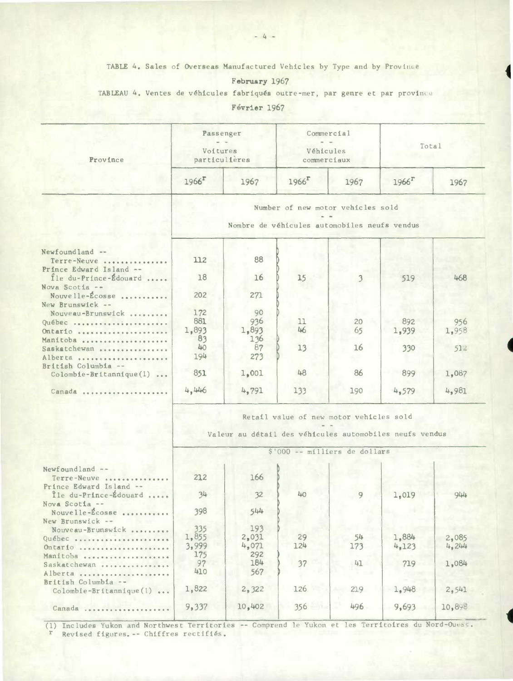TABLE 4. Sales of Overseas Manufactured Vehicles by Type and by Province

4

## February 1967

TABLEAU 4. Ventes de véhicules fabriqués outre-mer, par genre et par provini

Février 1967

| Province                                                           |                     | Passenger<br>Voitures<br>particulières                  | Véhicules<br>commerciaux                                                          | Commercial | Total             |                 |  |
|--------------------------------------------------------------------|---------------------|---------------------------------------------------------|-----------------------------------------------------------------------------------|------------|-------------------|-----------------|--|
|                                                                    | $1966$ <sup>r</sup> | 1967                                                    | $1966$ <sup><math>\Gamma</math></sup>                                             | 1967       | 1966 <sup>r</sup> | 1967            |  |
|                                                                    |                     |                                                         | Number of new motor vehicles sold<br>Nombre de véhicules automobiles neufs vendus |            |                   |                 |  |
| Newfoundland --<br>Terre-Neuve                                     | 112                 | 88                                                      |                                                                                   |            |                   |                 |  |
| Prince Edward Island --<br>Ile du-Prince-Édouard<br>Nova Scotia -- | 18                  | 16                                                      | 15                                                                                | 3.         | 519               | 468             |  |
| Nouvelle-Écosse<br>New Brunswick --                                | 202                 | 271                                                     |                                                                                   |            |                   |                 |  |
| Nouveau-Brunswick                                                  | 172                 | 90                                                      |                                                                                   |            |                   |                 |  |
| Québec                                                             | 881                 | 936                                                     | 11                                                                                | 20         | 892               | 956             |  |
| Ontario                                                            | 1,893               | 1,893                                                   | 46                                                                                | 65         | 1,939             | 1,958           |  |
| Manitoba                                                           | 83                  | 136                                                     |                                                                                   |            |                   |                 |  |
| Saskatchewan                                                       | 40                  | 87                                                      | 13                                                                                | 16         | 330               | 51 <sup>2</sup> |  |
|                                                                    |                     |                                                         |                                                                                   |            |                   |                 |  |
| Alberta                                                            | 194                 | 273                                                     |                                                                                   |            |                   |                 |  |
| British Columbia --                                                |                     |                                                         |                                                                                   |            |                   |                 |  |
| $\text{Colomble-Britanique}(1) \dots$                              | 851                 | 1,001                                                   | 48                                                                                | 86         | 899               | 1,087           |  |
| Canada                                                             | 4,446               | 4,791                                                   | 133                                                                               | 190        | 4,579             | 4,981           |  |
|                                                                    |                     | Valeur au détail des véhicules automobiles neufs vendus | Retail value of new motor vehicles sold<br>\$'000 -- milliers de dollars          |            |                   |                 |  |
| Newfoundland --                                                    |                     |                                                         |                                                                                   |            |                   |                 |  |
| Terre-Neuve                                                        | 212                 | 166                                                     |                                                                                   |            |                   |                 |  |
| Prince Edward Island --                                            |                     |                                                         |                                                                                   |            |                   |                 |  |
| Île du-Prince-Édouard                                              | 34                  | 32                                                      | 40                                                                                | 9          | 1,019             | 944             |  |
| Nova Scotia --                                                     |                     |                                                         |                                                                                   |            |                   |                 |  |
| Nouvelle-Ecosse                                                    | 398                 | 544                                                     |                                                                                   |            |                   |                 |  |
| New Brunswick --                                                   |                     |                                                         |                                                                                   |            |                   |                 |  |
| Nouveau-Brunswick                                                  | 335                 | 193                                                     |                                                                                   |            |                   |                 |  |
|                                                                    | 1,855               | 2,031                                                   | 29                                                                                | 54         | 1,884             | 2,085           |  |
| Québec                                                             | 3,999               | 4,071                                                   | 124                                                                               |            |                   | 4,244           |  |
| $Ontario$ ,,,,,,,,,,,,,,,,,                                        |                     |                                                         |                                                                                   | 173        | 4,123             |                 |  |
| Manitoba                                                           | 175                 | 292                                                     |                                                                                   |            |                   |                 |  |
| Saskatchewan                                                       | 97                  | 184                                                     | 37                                                                                | 41         | 719               | 1,084           |  |
| Alberta                                                            | 410                 | 567                                                     |                                                                                   |            |                   |                 |  |
| British Columbia --                                                |                     |                                                         |                                                                                   |            |                   |                 |  |
| Colombie-Britannique(1)                                            | 1,822               | 2,322                                                   | 126                                                                               | 219        | 1,948             | 2,541           |  |

(l) Includes Yukon and Northwest Territories -- Comprend le Yukon et les Territoires du Nord-Oue r Revised figures. -- Chiffres rectifiés.

Canada ....................

9,337 10,402 356 496 9,693 10,898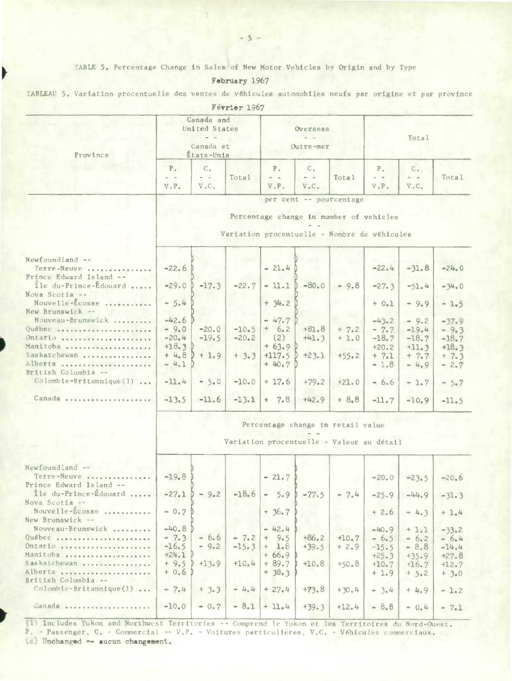TABLE 5. Percentage Change in Sales of New Motor Vehicles by Origin and by Type

February 1967

TABLEAU 5. Variation procentuelle des ventes de véhicules automobiles neufs par origine et par province

|                                                                                     |                                                                                                                    |                                       | Meatrel TApi       |                                          |                                                             |                    |                                         |                                          |                                         |
|-------------------------------------------------------------------------------------|--------------------------------------------------------------------------------------------------------------------|---------------------------------------|--------------------|------------------------------------------|-------------------------------------------------------------|--------------------|-----------------------------------------|------------------------------------------|-----------------------------------------|
| Province                                                                            | Canada and<br>United States<br>Canada et<br>États-Unis                                                             |                                       |                    | Overseas<br>Outre-mer                    |                                                             |                    | Total                                   |                                          |                                         |
|                                                                                     | $P_{\alpha}$<br>$ -$<br>V.P.                                                                                       | $C_{\star}$<br>$\sim$ $ \sim$<br>V.C. | Total              | $P$ .<br>$\qquad \qquad -$<br>V.P.       | $C_{\star}$<br>$\sim$ $ -$<br>V <sub>n</sub> C <sub>n</sub> | Total              | $P_{\alpha}$<br>$- -$<br>$V$ . $P$ .    | $C_{\alpha}$<br>$\frac{1}{2}$<br>$V$ .C. | Total                                   |
|                                                                                     | per cent -- pourcentage<br>Percentage change in number of vehicles<br>Variation procentuelle - Nombre de véhicules |                                       |                    |                                          |                                                             |                    |                                         |                                          |                                         |
| Newfoundland --<br>Terre-Neuve<br>Prince Edward Island --                           | $-22.6$                                                                                                            |                                       |                    | $-21.4$                                  |                                                             |                    | $-22.4$                                 | $-31.8$                                  | $-24.0$                                 |
| Ile du-Prince-Édouard<br>Nova Scotia $-$                                            | $-29.0$                                                                                                            | $-17.3$                               | $-22.7$            | $-11.1$                                  | $-80.0$                                                     | $-9.8$             | $-27.3$                                 | $-51.4$                                  | $-34.0$                                 |
| Nouvelle-Écosse<br>New Brunswick --                                                 | $-5.4$                                                                                                             |                                       |                    | $+ 34.2$                                 |                                                             |                    | $+ 0.1$                                 | $-9.9$                                   | $-1.5$                                  |
| Nouveau-Brunswick<br>Québec<br>Ontario<br>Manitoba                                  | $-42.6$<br>$-9.0$<br>$-20.4$<br>$+18.3$                                                                            | $-20.0$<br>$-19.5$                    | $-10.5$<br>$-20.2$ | $-47.7$<br>$+ 6.2$<br>(2)<br>$+63.9$     | $+81.8$<br>$+41.3$                                          | $+ 7.2$<br>$+1.0$  | $-43.2$<br>$-7.7$<br>$-18.7$<br>$+20.2$ | $-9.2$<br>$-19.4$<br>$-18.7$<br>$+11.3$  | $-37.9$<br>$-9.3$<br>$-18.7$<br>$+18.3$ |
| Saskatchewan<br>Alberta<br>British Columbia --<br>$\text{Colomb}$ ie-Britannique(1) | $+4.8$<br>$-4.1$<br>$-11.4$                                                                                        | $+1.9$<br>$-5.0$                      | $+3.3$<br>$-10.0$  | $+117.5$<br>$+40.7$ D<br>$+17.6$         | $+23.1$<br>$+79.2$                                          | $+55.2$<br>$+21.0$ | $+ 7.1$<br>$-1.8$<br>$-6.6$             | $+7.7$<br>$-4.9$<br>$-1.7$               | $+ 7.3$<br>$-2.7$                       |
| Canada                                                                              | $-13.5$                                                                                                            | $-11.6$                               |                    | $-13.1$ + 7.8                            | $+42.9$                                                     | $+8.8$             | $-11.7$                                 | $-10.9$                                  | $-5.7$<br>$-11.5$                       |
|                                                                                     | Percentage change in retail value<br>Variation procentuelle - Valeur au détail                                     |                                       |                    |                                          |                                                             |                    |                                         |                                          |                                         |
| Newfoundland --<br>Terre-Neuve<br>Prince Edward Island --                           | $-19.8$                                                                                                            |                                       |                    | $-21.7$                                  |                                                             |                    | $-20.0$                                 | $-23.5$                                  | $-20.6$                                 |
| Île du-Prince-Édouard<br>Nova Scotia --<br>Nouvelle-Ecosse                          | $-0.7P$                                                                                                            | $-27.1$ ) - 9.2                       | $-18.6$            | $+36.7$                                  | $-5.9$ $-77.5$                                              | $-7.4$             | $-25.9$<br>$+2.6$                       | $-44.9$<br>$-4.3$                        | $-31.3$<br>$+1.4$                       |
| New Brunswick --<br>Nouveau-Brunswick<br>Québec                                     | $-40.8$<br>$-7.3$                                                                                                  | $-6.6$                                | $-7.2$             | $-42.4$<br>$+ 9.5$                       | $+86.2$                                                     | âb.<br>$+10.7$     | $-40.9$<br>$-6.5$                       | $+1.1$<br>$-6.2$                         | $-33.2$<br>$-6.4$                       |
| Ontario<br>Manitoba<br>Saskatchewan<br>Alberta                                      | $-16.5$<br>$+24.1$<br>$+9.5$<br>$+0.6$                                                                             | $-9.2$<br>$+13.9$                     | $-15.3$<br>$+10.4$ | $+ 1.8$<br>$+66.9$<br>$+89.7$<br>$+38.3$ | $+39.5$<br>$+10.8$                                          | $+2.9$<br>$+50.8$  | $-15.5$<br>$+25.3$<br>$+10.7$<br>$+1.9$ | $-8.8$<br>$+35.9$<br>$+16.7$<br>$+5.2$   | $-14.4$<br>$+27.8$<br>$+12.7$<br>$+3.0$ |
| British Columbia --<br>Colombie-Britannique(1)                                      | $-7.4$                                                                                                             | $+3.3$                                | $-4.4$             | $+27.4$                                  | $+73.8$                                                     | $+30.4$            | $= 3.4$                                 | $+4.9$                                   | $-1.2$                                  |
| Canada                                                                              | $-10.0$                                                                                                            | $= 0.7$                               | $-8.1$             | $+11.4$                                  | $+39.3$                                                     | $+12.4$            | $-8.8$                                  | $= 0.4$                                  | $-7.1$                                  |

(1) Includes Yukon and Northwest Territories -- Comprend le Yukon et les Territoires du Nord-Ouest. P. - Passenger, C. - Commercial -- V.P. - Voitures particulières, V.C. - Véhicules commerciaux.

 $(E)$  Unchanged -- aucun changement.